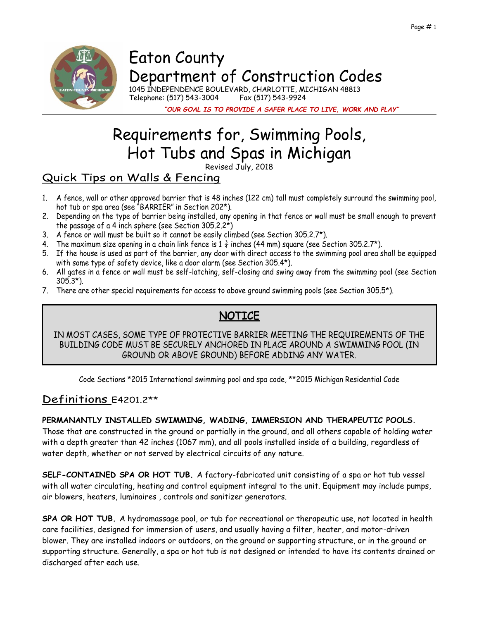

# Requirements for, Swimming Pools, Hot Tubs and Spas in Michigan

Revised July, 2018

# Quick Tips on Walls & Fencing

- 1. A fence, wall or other approved barrier that is 48 inches (122 cm) tall must completely surround the swimming pool, hot tub or spa area (see "BARRIER" in Section 202\*).
- 2. Depending on the type of barrier being installed, any opening in that fence or wall must be small enough to prevent the passage of a 4 inch sphere (see Section 305.2.2\*)
- 3. A fence or wall must be built so it cannot be easily climbed (see Section 305.2.7\*).
- 4. The maximum size opening in a chain link fence is  $1\frac{3}{4}$  inches (44 mm) square (see Section 305.2.7<sup>\*</sup>).
- 5. If the house is used as part of the barrier, any door with direct access to the swimming pool area shall be equipped with some type of safety device, like a door alarm (see Section 305.4\*).
- 6. All gates in a fence or wall must be self-latching, self-closing and swing away from the swimming pool (see Section 305.3\*).
- 7. There are other special requirements for access to above ground swimming pools (see Section 305.5\*).

# **NOTICE**

IN MOST CASES, SOME TYPE OF PROTECTIVE BARRIER MEETING THE REQUIREMENTS OF THE BUILDING CODE MUST BE SECURELY ANCHORED IN PLACE AROUND A SWIMMING POOL (IN GROUND OR ABOVE GROUND) BEFORE ADDING ANY WATER.

Code Sections \*2015 International swimming pool and spa code, \*\*2015 Michigan Residential Code

## Definitions E4201.2\*\*

#### **PERMANANTLY INSTALLED SWIMMING, WADING, IMMERSION AND THERAPEUTIC POOLS.**

Those that are constructed in the ground or partially in the ground, and all others capable of holding water with a depth greater than 42 inches (1067 mm), and all pools installed inside of a building, regardless of water depth, whether or not served by electrical circuits of any nature.

**SELF-CONTAINED SPA OR HOT TUB.** A factory-fabricated unit consisting of a spa or hot tub vessel with all water circulating, heating and control equipment integral to the unit. Equipment may include pumps, air blowers, heaters, luminaires , controls and sanitizer generators.

**SPA OR HOT TUB.** A hydromassage pool, or tub for recreational or therapeutic use, not located in health care facilities, designed for immersion of users, and usually having a filter, heater, and motor-driven blower. They are installed indoors or outdoors, on the ground or supporting structure, or in the ground or supporting structure. Generally, a spa or hot tub is not designed or intended to have its contents drained or discharged after each use.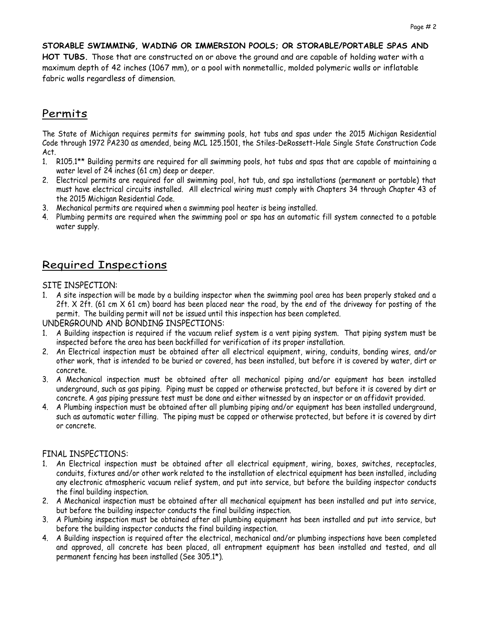#### **STORABLE SWIMMING, WADING OR IMMERSION POOLS; OR STORABLE/PORTABLE SPAS AND**

**HOT TUBS.** Those that are constructed on or above the ground and are capable of holding water with a maximum depth of 42 inches (1067 mm), or a pool with nonmetallic, molded polymeric walls or inflatable fabric walls regardless of dimension.

### Permits

The State of Michigan requires permits for swimming pools, hot tubs and spas under the 2015 Michigan Residential Code through 1972 PA230 as amended, being MCL 125.1501, the Stiles-DeRossett-Hale Single State Construction Code Act.

- 1. R105.1\*\* Building permits are required for all swimming pools, hot tubs and spas that are capable of maintaining a water level of 24 inches (61 cm) deep or deeper.
- 2. Electrical permits are required for all swimming pool, hot tub, and spa installations (permanent or portable) that must have electrical circuits installed. All electrical wiring must comply with Chapters 34 through Chapter 43 of the 2015 Michigan Residential Code.
- 3. Mechanical permits are required when a swimming pool heater is being installed.
- 4. Plumbing permits are required when the swimming pool or spa has an automatic fill system connected to a potable water supply.

# Required Inspections

#### SITE INSPECTION:

1. A site inspection will be made by a building inspector when the swimming pool area has been properly staked and a 2ft. X 2ft. (61 cm X 61 cm) board has been placed near the road, by the end of the driveway for posting of the permit. The building permit will not be issued until this inspection has been completed.

UNDERGROUND AND BONDING INSPECTIONS:

- 1. A Building inspection is required if the vacuum relief system is a vent piping system. That piping system must be inspected before the area has been backfilled for verification of its proper installation.
- 2. An Electrical inspection must be obtained after all electrical equipment, wiring, conduits, bonding wires, and/or other work, that is intended to be buried or covered, has been installed, but before it is covered by water, dirt or concrete.
- 3. A Mechanical inspection must be obtained after all mechanical piping and/or equipment has been installed underground, such as gas piping. Piping must be capped or otherwise protected, but before it is covered by dirt or concrete. A gas piping pressure test must be done and either witnessed by an inspector or an affidavit provided.
- 4. A Plumbing inspection must be obtained after all plumbing piping and/or equipment has been installed underground, such as automatic water filling. The piping must be capped or otherwise protected, but before it is covered by dirt or concrete.

#### FINAL INSPECTIONS:

- 1. An Electrical inspection must be obtained after all electrical equipment, wiring, boxes, switches, receptacles, conduits, fixtures and/or other work related to the installation of electrical equipment has been installed, including any electronic atmospheric vacuum relief system, and put into service, but before the building inspector conducts the final building inspection.
- 2. A Mechanical inspection must be obtained after all mechanical equipment has been installed and put into service, but before the building inspector conducts the final building inspection.
- 3. A Plumbing inspection must be obtained after all plumbing equipment has been installed and put into service, but before the building inspector conducts the final building inspection.
- 4. A Building inspection is required after the electrical, mechanical and/or plumbing inspections have been completed and approved, all concrete has been placed, all entrapment equipment has been installed and tested, and all permanent fencing has been installed (See 305.1\*).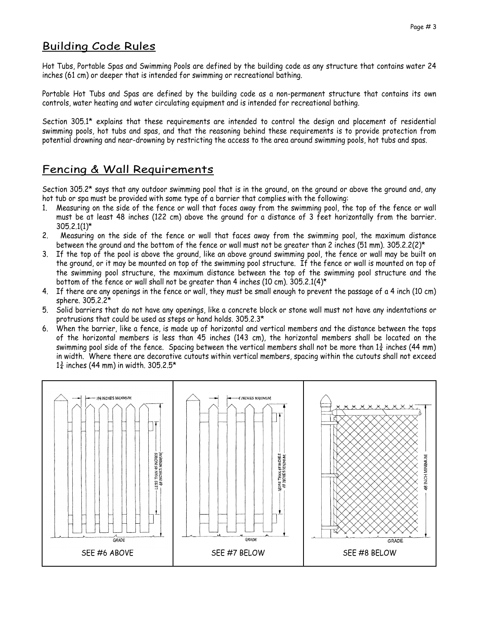# Building Code Rules

Hot Tubs, Portable Spas and Swimming Pools are defined by the building code as any structure that contains water 24 inches (61 cm) or deeper that is intended for swimming or recreational bathing.

Portable Hot Tubs and Spas are defined by the building code as a non-permanent structure that contains its own controls, water heating and water circulating equipment and is intended for recreational bathing.

Section 305.1\* explains that these requirements are intended to control the design and placement of residential swimming pools, hot tubs and spas, and that the reasoning behind these requirements is to provide protection from potential drowning and near-drowning by restricting the access to the area around swimming pools, hot tubs and spas.

# Fencing & Wall Requirements

Section 305.2\* says that any outdoor swimming pool that is in the ground, on the ground or above the ground and, any hot tub or spa must be provided with some type of a barrier that complies with the following:

- 1. Measuring on the side of the fence or wall that faces away from the swimming pool, the top of the fence or wall must be at least 48 inches (122 cm) above the ground for a distance of 3 feet horizontally from the barrier. 305.2.1(1)\*
- 2. Measuring on the side of the fence or wall that faces away from the swimming pool, the maximum distance between the ground and the bottom of the fence or wall must not be greater than 2 inches (51 mm). 305.2.2(2)\*
- 3. If the top of the pool is above the ground, like an above ground swimming pool, the fence or wall may be built on the ground, or it may be mounted on top of the swimming pool structure. If the fence or wall is mounted on top of the swimming pool structure, the maximum distance between the top of the swimming pool structure and the bottom of the fence or wall shall not be greater than 4 inches (10 cm). 305.2.1(4)\*
- 4. If there are any openings in the fence or wall, they must be small enough to prevent the passage of a 4 inch (10 cm) sphere. 305.2.2\*
- 5. Solid barriers that do not have any openings, like a concrete block or stone wall must not have any indentations or protrusions that could be used as steps or hand holds. 305.2.3\*
- 6. When the barrier, like a fence, is made up of horizontal and vertical members and the distance between the tops of the horizontal members is less than 45 inches (143 cm), the horizontal members shall be located on the swimming pool side of the fence. Spacing between the vertical members shall not be more than  $1\frac{3}{4}$  inches (44 mm) in width. Where there are decorative cutouts within vertical members, spacing within the cutouts shall not exceed  $1\frac{3}{4}$  inches (44 mm) in width. 305.2.5\*

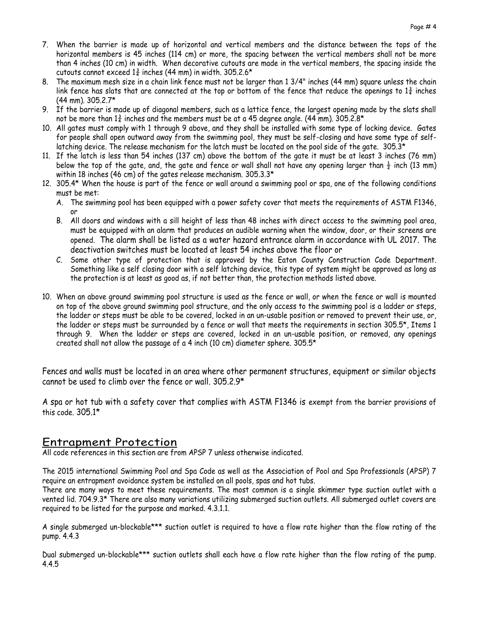- 7. When the barrier is made up of horizontal and vertical members and the distance between the tops of the horizontal members is 45 inches (114 cm) or more, the spacing between the vertical members shall not be more than 4 inches (10 cm) in width. When decorative cutouts are made in the vertical members, the spacing inside the cutouts cannot exceed  $1\frac{3}{4}$  inches (44 mm) in width. 305.2.6\*
- 8. The maximum mesh size in a chain link fence must not be larger than 1 3/4" inches (44 mm) square unless the chain link fence has slats that are connected at the top or bottom of the fence that reduce the openings to  $1\frac{3}{4}$  inches (44 mm). 305.2.7\*
- 9. If the barrier is made up of diagonal members, such as a lattice fence, the largest opening made by the slats shall not be more than  $1\frac{3}{4}$  inches and the members must be at a 45 degree angle. (44 mm). 305.2.8\*
- 10. All gates must comply with 1 through 9 above, and they shall be installed with some type of locking device. Gates for people shall open outward away from the swimming pool, they must be self-closing and have some type of selflatching device. The release mechanism for the latch must be located on the pool side of the gate. 305.3\*
- 11. If the latch is less than 54 inches (137 cm) above the bottom of the gate it must be at least 3 inches (76 mm) below the top of the gate, and, the gate and fence or wall shall not have any opening larger than  $\frac{1}{2}$  inch (13 mm) within 18 inches (46 cm) of the gates release mechanism. 305.3.3\*
- 12. 305.4\* When the house is part of the fence or wall around a swimming pool or spa, one of the following conditions must be met:
	- A. The swimming pool has been equipped with a power safety cover that meets the requirements of ASTM F1346, or
	- B. All doors and windows with a sill height of less than 48 inches with direct access to the swimming pool area, must be equipped with an alarm that produces an audible warning when the window, door, or their screens are opened. The alarm shall be listed as a water hazard entrance alarm in accordance with UL 2017. The deactivation switches must be located at least 54 inches above the floor or
	- C. Some other type of protection that is approved by the Eaton County Construction Code Department. Something like a self closing door with a self latching device, this type of system might be approved as long as the protection is at least as good as, if not better than, the protection methods listed above.
- 10. When an above ground swimming pool structure is used as the fence or wall, or when the fence or wall is mounted on top of the above ground swimming pool structure, and the only access to the swimming pool is a ladder or steps, the ladder or steps must be able to be covered, locked in an un-usable position or removed to prevent their use, or, the ladder or steps must be surrounded by a fence or wall that meets the requirements in section 305.5\*, Items 1 through 9. When the ladder or steps are covered, locked in an un-usable position, or removed, any openings created shall not allow the passage of a 4 inch (10 cm) diameter sphere. 305.5 $^{\star}$

Fences and walls must be located in an area where other permanent structures, equipment or similar objects cannot be used to climb over the fence or wall. 305.2.9\*

A spa or hot tub with a safety cover that complies with ASTM F1346 is exempt from the barrier provisions of this code. 305.1\*

### Entrapment Protection

All code references in this section are from APSP 7 unless otherwise indicated.

The 2015 international Swimming Pool and Spa Code as well as the Association of Pool and Spa Professionals (APSP) 7 require an entrapment avoidance system be installed on all pools, spas and hot tubs.

There are many ways to meet these requirements. The most common is a single skimmer type suction outlet with a vented lid. 704.9.3\* There are also many variations utilizing submerged suction outlets. All submerged outlet covers are required to be listed for the purpose and marked. 4.3.1.1.

A single submerged un-blockable\*\*\* suction outlet is required to have a flow rate higher than the flow rating of the pump. 4.4.3

Dual submerged un-blockable\*\*\* suction outlets shall each have a flow rate higher than the flow rating of the pump. 4.4.5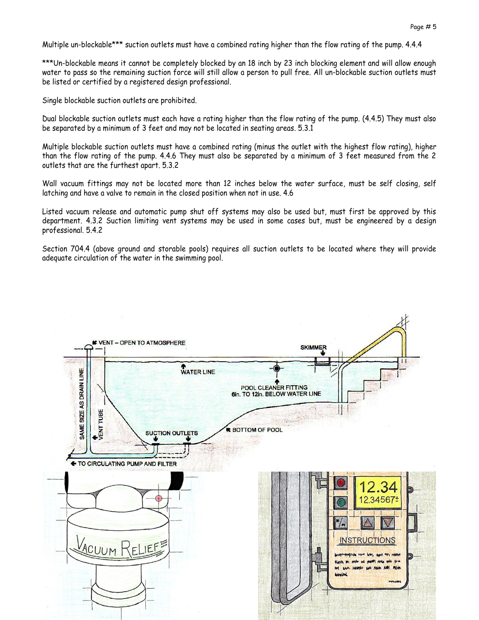Multiple un-blockable\*\*\* suction outlets must have a combined rating higher than the flow rating of the pump. 4.4.4

\*\*\*Un-blockable means it cannot be completely blocked by an 18 inch by 23 inch blocking element and will allow enough water to pass so the remaining suction force will still allow a person to pull free. All un-blockable suction outlets must be listed or certified by a registered design professional.

Single blockable suction outlets are prohibited.

Dual blockable suction outlets must each have a rating higher than the flow rating of the pump. (4.4.5) They must also be separated by a minimum of 3 feet and may not be located in seating areas. 5.3.1

Multiple blockable suction outlets must have a combined rating (minus the outlet with the highest flow rating), higher than the flow rating of the pump. 4.4.6 They must also be separated by a minimum of 3 feet measured from the 2 outlets that are the furthest apart. 5.3.2

Wall vacuum fittings may not be located more than 12 inches below the water surface, must be self closing, self latching and have a valve to remain in the closed position when not in use. 4.6

Listed vacuum release and automatic pump shut off systems may also be used but, must first be approved by this department. 4.3.2 Suction limiting vent systems may be used in some cases but, must be engineered by a design professional. 5.4.2

Section 704.4 (above ground and storable pools) requires all suction outlets to be located where they will provide adequate circulation of the water in the swimming pool.

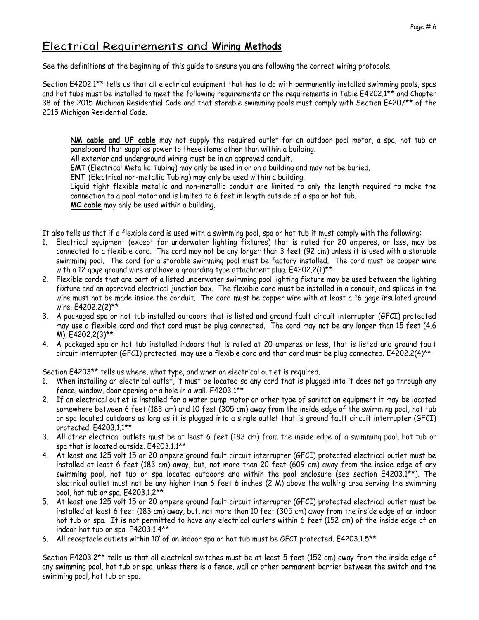### Electrical Requirements and **Wiring Methods**

See the definitions at the beginning of this guide to ensure you are following the correct wiring protocols.

Section E4202.1\*\* tells us that all electrical equipment that has to do with permanently installed swimming pools, spas and hot tubs must be installed to meet the following requirements or the requirements in Table E4202.1\*\* and Chapter 38 of the 2015 Michigan Residential Code and that storable swimming pools must comply with Section E4207\*\* of the 2015 Michigan Residential Code.

**NM cable and UF cable** may not supply the required outlet for an outdoor pool motor, a spa, hot tub or panelboard that supplies power to these items other than within a building.

All exterior and underground wiring must be in an approved conduit.

**EMT** (Electrical Metallic Tubing) may only be used in or on a building and may not be buried.

**ENT** (Electrical non-metallic Tubing) may only be used within a building.

Liquid tight flexible metallic and non-metallic conduit are limited to only the length required to make the connection to a pool motor and is limited to 6 feet in length outside of a spa or hot tub.

**MC cable** may only be used within a building.

It also tells us that if a flexible cord is used with a swimming pool, spa or hot tub it must comply with the following:

- 1. Electrical equipment (except for underwater lighting fixtures) that is rated for 20 amperes, or less, may be connected to a flexible cord. The cord may not be any longer than 3 feet (92 cm) unless it is used with a storable swimming pool. The cord for a storable swimming pool must be factory installed. The cord must be copper wire with a 12 gage ground wire and have a grounding type attachment plug. E4202.2(1)<sup>\*\*</sup>
- 2. Flexible cords that are part of a listed underwater swimming pool lighting fixture may be used between the lighting fixture and an approved electrical junction box. The flexible cord must be installed in a conduit, and splices in the wire must not be made inside the conduit. The cord must be copper wire with at least a 16 gage insulated ground wire. E4202.2(2)\*\*
- 3. A packaged spa or hot tub installed outdoors that is listed and ground fault circuit interrupter (GFCI) protected may use a flexible cord and that cord must be plug connected. The cord may not be any longer than 15 feet (4.6 M). E4202.2(3)\*\*
- 4. A packaged spa or hot tub installed indoors that is rated at 20 amperes or less, that is listed and ground fault circuit interrupter (GFCI) protected, may use a flexible cord and that cord must be plug connected. E4202.2(4)\*\*

Section E4203\*\* tells us where, what type, and when an electrical outlet is required.

- 1. When installing an electrical outlet, it must be located so any cord that is plugged into it does not go through any fence, window, door opening or a hole in a wall. E4203.1\*\*
- 2. If an electrical outlet is installed for a water pump motor or other type of sanitation equipment it may be located somewhere between 6 feet (183 cm) and 10 feet (305 cm) away from the inside edge of the swimming pool, hot tub or spa located outdoors as long as it is plugged into a single outlet that is ground fault circuit interrupter (GFCI) protected. E4203.1.1\*\*
- 3. All other electrical outlets must be at least 6 feet (183 cm) from the inside edge of a swimming pool, hot tub or spa that is located outside. E4203.1.1\*\*
- 4. At least one 125 volt 15 or 20 ampere ground fault circuit interrupter (GFCI) protected electrical outlet must be installed at least 6 feet (183 cm) away, but, not more than 20 feet (609 cm) away from the inside edge of any swimming pool, hot tub or spa located outdoors and within the pool enclosure (see section E4203.1\*\*). The electrical outlet must not be any higher than 6 feet 6 inches (2 M) above the walking area serving the swimming pool, hot tub or spa. E4203.1.2\*\*
- 5. At least one 125 volt 15 or 20 ampere ground fault circuit interrupter (GFCI) protected electrical outlet must be installed at least 6 feet (183 cm) away, but, not more than 10 feet (305 cm) away from the inside edge of an indoor hot tub or spa. It is not permitted to have any electrical outlets within 6 feet (152 cm) of the inside edge of an indoor hot tub or spa. E4203.1.4\*\*
- 6. All receptacle outlets within 10' of an indoor spa or hot tub must be GFCI protected. E4203.1.5\*\*

Section E4203.2\*\* tells us that all electrical switches must be at least 5 feet (152 cm) away from the inside edge of any swimming pool, hot tub or spa, unless there is a fence, wall or other permanent barrier between the switch and the swimming pool, hot tub or spa.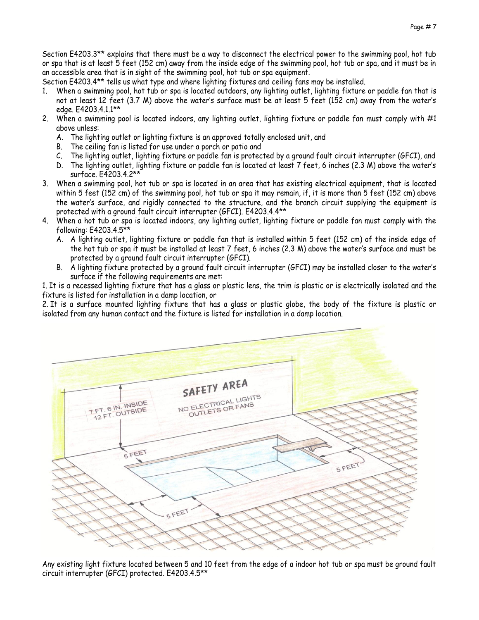Section E4203.3\*\* explains that there must be a way to disconnect the electrical power to the swimming pool, hot tub or spa that is at least 5 feet (152 cm) away from the inside edge of the swimming pool, hot tub or spa, and it must be in an accessible area that is in sight of the swimming pool, hot tub or spa equipment.

Section E4203.4\*\* tells us what type and where lighting fixtures and ceiling fans may be installed.

- 1. When a swimming pool, hot tub or spa is located outdoors, any lighting outlet, lighting fixture or paddle fan that is not at least 12 feet (3.7 M) above the water's surface must be at least 5 feet (152 cm) away from the water's edge. E4203.4.1.1\*\*
- 2. When a swimming pool is located indoors, any lighting outlet, lighting fixture or paddle fan must comply with #1 above unless:
	- A. The lighting outlet or lighting fixture is an approved totally enclosed unit, and
	- B. The ceiling fan is listed for use under a porch or patio and
	- C. The lighting outlet, lighting fixture or paddle fan is protected by a ground fault circuit interrupter (GFCI), and
	- D. The lighting outlet, lighting fixture or paddle fan is located at least 7 feet, 6 inches (2.3 M) above the water's surface. E4203.4.2\*\*
- 3. When a swimming pool, hot tub or spa is located in an area that has existing electrical equipment, that is located within 5 feet (152 cm) of the swimming pool, hot tub or spa it may remain, if, it is more than 5 feet (152 cm) above the water's surface, and rigidly connected to the structure, and the branch circuit supplying the equipment is protected with a ground fault circuit interrupter (GFCI). E4203.4.4\*\*
- 4. When a hot tub or spa is located indoors, any lighting outlet, lighting fixture or paddle fan must comply with the following: E4203.4.5\*\*
	- A. A lighting outlet, lighting fixture or paddle fan that is installed within 5 feet (152 cm) of the inside edge of the hot tub or spa it must be installed at least 7 feet, 6 inches (2.3 M) above the water's surface and must be protected by a ground fault circuit interrupter (GFCI).
	- B. A lighting fixture protected by a ground fault circuit interrupter (GFCI) may be installed closer to the water's surface if the following requirements are met:

1. It is a recessed lighting fixture that has a glass or plastic lens, the trim is plastic or is electrically isolated and the fixture is listed for installation in a damp location, or

2. It is a surface mounted lighting fixture that has a glass or plastic globe, the body of the fixture is plastic or isolated from any human contact and the fixture is listed for installation in a damp location.



Any existing light fixture located between 5 and 10 feet from the edge of a indoor hot tub or spa must be ground fault circuit interrupter (GFCI) protected. E4203.4.5\*\*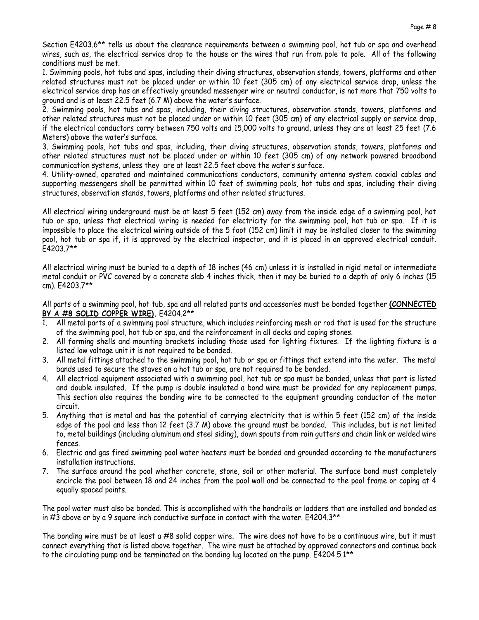Section E4203.6\*\* tells us about the clearance requirements between a swimming pool, hot tub or spa and overhead wires, such as, the electrical service drop to the house or the wires that run from pole to pole. All of the following conditions must be met.

1. Swimming pools, hot tubs and spas, including their diving structures, observation stands, towers, platforms and other related structures must not be placed under or within 10 feet (305 cm) of any electrical service drop, unless the electrical service drop has an effectively grounded messenger wire or neutral conductor, is not more that 750 volts to ground and is at least 22.5 feet (6.7 M) above the water's surface.

2. Swimming pools, hot tubs and spas, including, their diving structures, observation stands, towers, platforms and other related structures must not be placed under or within 10 feet (305 cm) of any electrical supply or service drop, if the electrical conductors carry between 750 volts and 15,000 volts to ground, unless they are at least 25 feet (7.6 Meters) above the water's surface.

3. Swimming pools, hot tubs and spas, including, their diving structures, observation stands, towers, platforms and other related structures must not be placed under or within 10 feet (305 cm) of any network powered broadband communication systems, unless they are at least 22.5 feet above the water's surface.

4. Utility-owned, operated and maintained communications conductors, community antenna system coaxial cables and supporting messengers shall be permitted within 10 feet of swimming pools, hot tubs and spas, including their diving structures, observation stands, towers, platforms and other related structures.

All electrical wiring underground must be at least 5 feet (152 cm) away from the inside edge of a swimming pool, hot tub or spa, unless that electrical wiring is needed for electricity for the swimming pool, hot tub or spa. If it is impossible to place the electrical wiring outside of the 5 foot (152 cm) limit it may be installed closer to the swimming pool, hot tub or spa if, it is approved by the electrical inspector, and it is placed in an approved electrical conduit. E4203.7\*\*

All electrical wiring must be buried to a depth of 18 inches (46 cm) unless it is installed in rigid metal or intermediate metal conduit or PVC covered by a concrete slab 4 inches thick, then it may be buried to a depth of only 6 inches (15 cm). E4203.7\*\*

All parts of a swimming pool, hot tub, spa and all related parts and accessories must be bonded together **(CONNECTED BY A #8 SOLID COPPER WIRE).** E4204.2\*\*

- 1. All metal parts of a swimming pool structure, which includes reinforcing mesh or rod that is used for the structure of the swimming pool, hot tub or spa, and the reinforcement in all decks and coping stones.
- 2. All forming shells and mounting brackets including those used for lighting fixtures. If the lighting fixture is a listed low voltage unit it is not required to be bonded.
- 3. All metal fittings attached to the swimming pool, hot tub or spa or fittings that extend into the water. The metal bands used to secure the staves on a hot tub or spa, are not required to be bonded.
- 4. All electrical equipment associated with a swimming pool, hot tub or spa must be bonded, unless that part is listed and double insulated. If the pump is double insulated a bond wire must be provided for any replacement pumps. This section also requires the bonding wire to be connected to the equipment grounding conductor of the motor circuit.
- 5. Anything that is metal and has the potential of carrying electricity that is within 5 feet (152 cm) of the inside edge of the pool and less than 12 feet (3.7 M) above the ground must be bonded. This includes, but is not limited to, metal buildings (including aluminum and steel siding), down spouts from rain gutters and chain link or welded wire fences.
- 6. Electric and gas fired swimming pool water heaters must be bonded and grounded according to the manufacturers installation instructions.
- 7. The surface around the pool whether concrete, stone, soil or other material. The surface bond must completely encircle the pool between 18 and 24 inches from the pool wall and be connected to the pool frame or coping at 4 equally spaced points.

The pool water must also be bonded. This is accomplished with the handrails or ladders that are installed and bonded as in #3 above or by a 9 square inch conductive surface in contact with the water. E4204.3\*\*

The bonding wire must be at least a #8 solid copper wire. The wire does not have to be a continuous wire, but it must connect everything that is listed above together. The wire must be attached by approved connectors and continue back to the circulating pump and be terminated on the bonding lug located on the pump. E4204.5.1\*\*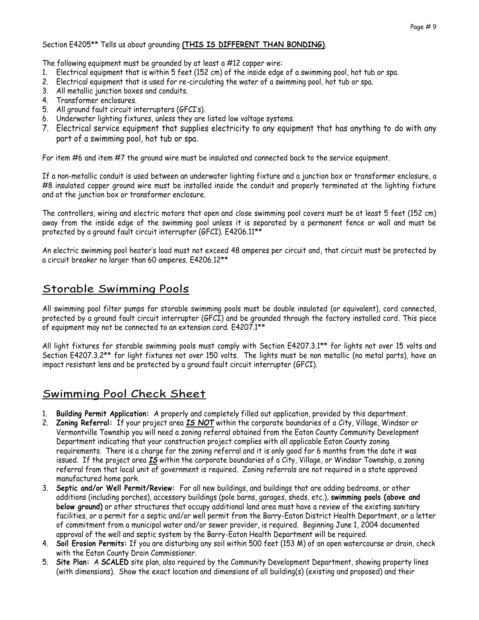#### Section E4205\*\* Tells us about grounding **(THIS IS DIFFERENT THAN BONDING)**.

The following equipment must be grounded by at least a #12 copper wire:

- 1. Electrical equipment that is within 5 feet (152 cm) of the inside edge of a swimming pool, hot tub or spa.
- 2. Electrical equipment that is used for re-circulating the water of a swimming pool, hot tub or spa.
- 3. All metallic junction boxes and conduits.
- 4. Transformer enclosures.
- 5. All ground fault circuit interrupters (GFCI's).
- 6. Underwater lighting fixtures, unless they are listed low voltage systems.
- 7. Electrical service equipment that supplies electricity to any equipment that has anything to do with any part of a swimming pool, hot tub or spa.

For item #6 and item #7 the ground wire must be insulated and connected back to the service equipment.

If a non-metallic conduit is used between an underwater lighting fixture and a junction box or transformer enclosure, a #8 insulated copper ground wire must be installed inside the conduit and properly terminated at the lighting fixture and at the junction box or transformer enclosure.

The controllers, wiring and electric motors that open and close swimming pool covers must be at least 5 feet (152 cm) away from the inside edge of the swimming pool unless it is separated by a permanent fence or wall and must be protected by a ground fault circuit interrupter (GFCI). E4206.11\*\*

An electric swimming pool heater's load must not exceed 48 amperes per circuit and, that circuit must be protected by a circuit breaker no larger than 60 amperes. E4206.12\*\*

### Storable Swimming Pools

All swimming pool filter pumps for storable swimming pools must be double insulated (or equivalent), cord connected, protected by a ground fault circuit interrupter (GFCI) and be grounded through the factory installed cord. This piece of equipment may not be connected to an extension cord. E4207.1\*\*

All light fixtures for storable swimming pools must comply with Section E4207.3.1\*\* for lights not over 15 volts and Section E4207.3.2\*\* for light fixtures not over 150 volts. The lights must be non metallic (no metal parts), have an impact resistant lens and be protected by a ground fault circuit interrupter (GFCI).

### Swimming Pool Check Sheet

- 1. **Building Permit Application:** A properly and completely filled out application, provided by this department.
- 2. **Zoning Referral:** If your project area *IS NOT* within the corporate boundaries of a City, Village, Windsor or Vermontville Township you will need a zoning referral obtained from the Eaton County Community Development Department indicating that your construction project complies with all applicable Eaton County zoning requirements. There is a charge for the zoning referral and it is only good for 6 months from the date it was issued. If the project area *IS* within the corporate boundaries of a City, Village, or Windsor Township, a zoning referral from that local unit of government is required. Zoning referrals are not required in a state approved manufactured home park.
- 3. **Septic and/or Well Permit/Review:** For all new buildings, and buildings that are adding bedrooms, or other additions (including porches), accessory buildings (pole barns, garages, sheds, etc.), **swimming pools (above and below ground)** or other structures that occupy additional land area must have a review of the existing sanitary facilities, or a permit for a septic and/or well permit from the Barry-Eaton District Health Department, or a letter of commitment from a municipal water and/or sewer provider, is required. Beginning June 1, 2004 documented approval of the well and septic system by the Barry-Eaton Health Department will be required.
- 4. **Soil Erosion Permits:** If you are disturbing any soil within 500 feet (153 M) of an open watercourse or drain, check with the Eaton County Drain Commissioner.
- 5. **Site Plan:** A **SCALED** site plan, also required by the Community Development Department, showing property lines (with dimensions). Show the exact location and dimensions of all building(s) (existing and proposed) and their